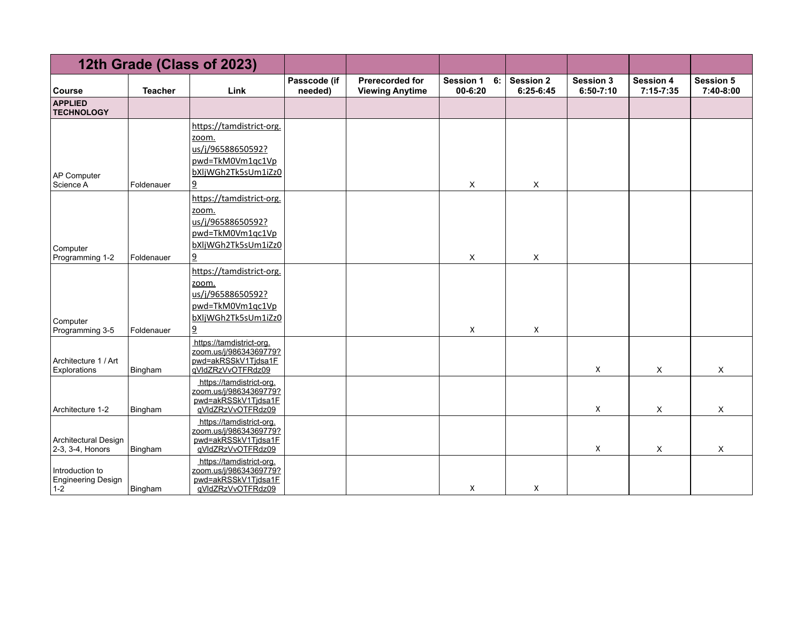|                                              |                | 12th Grade (Class of 2023)                                                                                          |                         |                                                  |                                       |                               |                                 |                                   |                               |
|----------------------------------------------|----------------|---------------------------------------------------------------------------------------------------------------------|-------------------------|--------------------------------------------------|---------------------------------------|-------------------------------|---------------------------------|-----------------------------------|-------------------------------|
| <b>Course</b>                                | <b>Teacher</b> | Link                                                                                                                | Passcode (if<br>needed) | <b>Prerecorded for</b><br><b>Viewing Anytime</b> | 6:<br><b>Session 1</b><br>$00 - 6:20$ | <b>Session 2</b><br>6:25-6:45 | <b>Session 3</b><br>$6:50-7:10$ | <b>Session 4</b><br>$7:15 - 7:35$ | <b>Session 5</b><br>7:40-8:00 |
| <b>APPLIED</b><br><b>TECHNOLOGY</b>          |                |                                                                                                                     |                         |                                                  |                                       |                               |                                 |                                   |                               |
| AP Computer<br>Science A                     | Foldenauer     | https://tamdistrict-org.<br>zoom.<br>us/j/96588650592?<br>pwd=TkM0Vm1qc1Vp<br>bXljWGh2Tk5sUm1iZz0<br>9              |                         |                                                  | X                                     | X                             |                                 |                                   |                               |
| Computer<br>Programming 1-2                  | Foldenauer     | https://tamdistrict-org.<br>zoom.<br>us/j/96588650592?<br>pwd=TkM0Vm1qc1Vp<br>bXljWGh2Tk5sUm1iZz0<br>$\overline{a}$ |                         |                                                  | X                                     | X                             |                                 |                                   |                               |
| Computer<br>Programming 3-5                  | Foldenauer     | https://tamdistrict-org.<br>zoom.<br>us/j/96588650592?<br>pwd=TkM0Vm1qc1Vp<br>bXljWGh2Tk5sUm1iZz0<br>$\overline{6}$ |                         |                                                  | Χ                                     | Χ                             |                                 |                                   |                               |
| Architecture 1 / Art<br>Explorations         | Bingham        | https://tamdistrict-org.<br>zoom.us/j/98634369779?<br>pwd=akRSSkV1Tjdsa1F<br>gVldZRzVvOTFRdz09                      |                         |                                                  |                                       |                               | X                               | X                                 | X                             |
| Architecture 1-2                             | Bingham        | https://tamdistrict-org.<br>zoom.us/j/98634369779?<br>pwd=akRSSkV1Tjdsa1F<br>qVldZRzVvOTFRdz09                      |                         |                                                  |                                       |                               | X                               | X                                 | X                             |
| Architectural Design<br>2-3, 3-4, Honors     | Bingham        | https://tamdistrict-org.<br>zoom.us/j/98634369779?<br>pwd=akRSSkV1Tjdsa1F<br>qVldZRzVvOTFRdz09                      |                         |                                                  |                                       |                               | X                               | X                                 | X                             |
| Introduction to<br>Engineering Design<br>1-2 | Bingham        | https://tamdistrict-org.<br>zoom.us/j/98634369779?<br>pwd=akRSSkV1Tjdsa1F<br>gVldZRzVvOTFRdz09                      |                         |                                                  | X                                     | X                             |                                 |                                   |                               |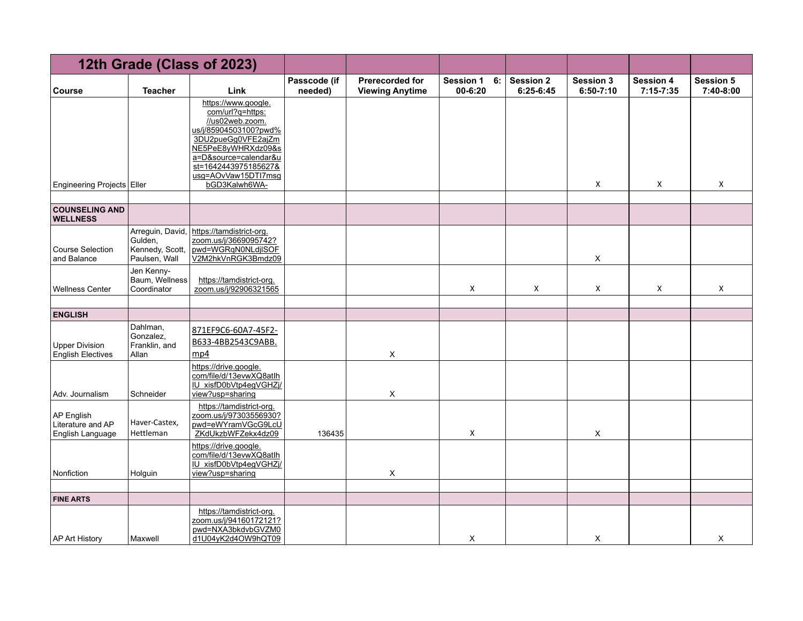|                                                     |                                                                 | 12th Grade (Class of 2023)                                                                                                                                                                                               |                         |                                                  |                                   |                               |                                   |                                   |                               |
|-----------------------------------------------------|-----------------------------------------------------------------|--------------------------------------------------------------------------------------------------------------------------------------------------------------------------------------------------------------------------|-------------------------|--------------------------------------------------|-----------------------------------|-------------------------------|-----------------------------------|-----------------------------------|-------------------------------|
| <b>Course</b>                                       | <b>Teacher</b>                                                  | Link                                                                                                                                                                                                                     | Passcode (if<br>needed) | <b>Prerecorded for</b><br><b>Viewing Anytime</b> | <b>Session 1</b><br>6:<br>00-6:20 | <b>Session 2</b><br>6:25-6:45 | <b>Session 3</b><br>$6:50 - 7:10$ | <b>Session 4</b><br>$7:15 - 7:35$ | <b>Session 5</b><br>7:40-8:00 |
| Engineering Projects Eller                          |                                                                 | https://www.google.<br>com/url?q=https:<br>//us02web.zoom.<br>us/j/85904503100?pwd%<br>3DU2pueGg0VFE2ajZm<br>NE5PeE8yWHRXdz09&s<br>a=D&source=calendar&u<br>st=1642443975185627&<br>usg=AOvVaw15DTI7msg<br>bGD3Kalwh6WA- |                         |                                                  |                                   |                               | Χ                                 | Χ                                 | X                             |
| <b>COUNSELING AND</b><br><b>WELLNESS</b>            |                                                                 |                                                                                                                                                                                                                          |                         |                                                  |                                   |                               |                                   |                                   |                               |
| Course Selection<br>and Balance                     | Arreguin, David,<br>Gulden,<br>Kennedy, Scott,<br>Paulsen, Wall | https://tamdistrict-org.<br>zoom.us/j/3669095742?<br>pwd=WGRqN0NLdjISOF<br>V2M2hkVnRGK3Bmdz09                                                                                                                            |                         |                                                  |                                   |                               | X                                 |                                   |                               |
| <b>Wellness Center</b>                              | Jen Kenny-<br>Baum, Wellness<br>Coordinator                     | https://tamdistrict-org.<br>zoom.us/j/92906321565                                                                                                                                                                        |                         |                                                  | X                                 | Χ                             | X                                 | Χ                                 | X                             |
| <b>ENGLISH</b>                                      |                                                                 |                                                                                                                                                                                                                          |                         |                                                  |                                   |                               |                                   |                                   |                               |
| <b>Upper Division</b><br><b>English Electives</b>   | Dahlman,<br>Gonzalez,<br>Franklin, and<br>Allan                 | 871EF9C6-60A7-45F2-<br>B633-4BB2543C9ABB.<br>mp4                                                                                                                                                                         |                         | X                                                |                                   |                               |                                   |                                   |                               |
| Adv. Journalism                                     | Schneider                                                       | https://drive.google.<br>com/file/d/13evwXQ8atlh<br>IU xisfD0bVtp4egVGHZj/<br>view?usp=sharing                                                                                                                           |                         | X                                                |                                   |                               |                                   |                                   |                               |
| AP English<br>Literature and AP<br>English Language | Haver-Castex,<br>Hettleman                                      | https://tamdistrict-org.<br>zoom.us/j/97303556930?<br>pwd=eWYramVGcG9LcU<br>ZKdUkzbWFZekx4dz09                                                                                                                           | 136435                  |                                                  | X                                 |                               | X                                 |                                   |                               |
| Nonfiction                                          | Holguin                                                         | https://drive.google.<br>com/file/d/13evwXQ8atlh<br>IU xisfD0bVtp4egVGHZj/<br>view?usp=sharing                                                                                                                           |                         | X                                                |                                   |                               |                                   |                                   |                               |
|                                                     |                                                                 |                                                                                                                                                                                                                          |                         |                                                  |                                   |                               |                                   |                                   |                               |
| <b>FINE ARTS</b>                                    |                                                                 | https://tamdistrict-org.                                                                                                                                                                                                 |                         |                                                  |                                   |                               |                                   |                                   |                               |
| <b>AP Art History</b>                               | Maxwell                                                         | zoom.us/j/94160172121?<br>pwd=NXA3bkdvbGVZM0<br>d1U04yK2d4OW9hQT09                                                                                                                                                       |                         |                                                  | X                                 |                               | X                                 |                                   | Χ                             |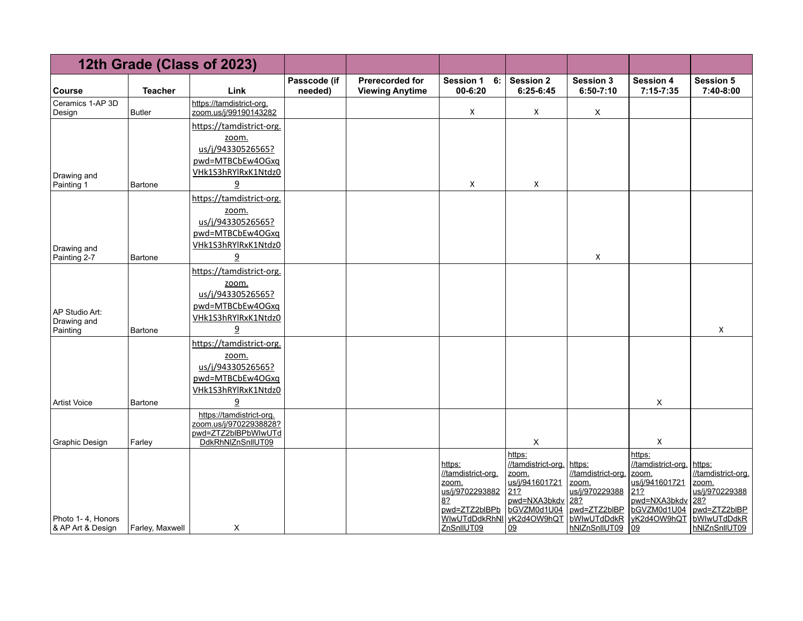|                               |                 | 12th Grade (Class of 2023)                         |                         |                                                  |                                   |                               |                                 |                               |                               |
|-------------------------------|-----------------|----------------------------------------------------|-------------------------|--------------------------------------------------|-----------------------------------|-------------------------------|---------------------------------|-------------------------------|-------------------------------|
| <b>Course</b>                 | <b>Teacher</b>  | Link                                               | Passcode (if<br>needed) | <b>Prerecorded for</b><br><b>Viewing Anytime</b> | <b>Session 1</b><br>6:<br>00-6:20 | <b>Session 2</b><br>6:25-6:45 | <b>Session 3</b><br>$6:50-7:10$ | <b>Session 4</b><br>7:15-7:35 | <b>Session 5</b><br>7:40-8:00 |
| Ceramics 1-AP 3D<br>Design    | <b>Butler</b>   | https://tamdistrict-org.<br>zoom.us/j/99190143282  |                         |                                                  | X                                 | X                             | X                               |                               |                               |
|                               |                 | https://tamdistrict-org.                           |                         |                                                  |                                   |                               |                                 |                               |                               |
|                               |                 | zoom.<br>us/j/94330526565?                         |                         |                                                  |                                   |                               |                                 |                               |                               |
|                               |                 | pwd=MTBCbEw4OGxq                                   |                         |                                                  |                                   |                               |                                 |                               |                               |
| Drawing and                   |                 | VHk1S3hRYlRxK1Ntdz0                                |                         |                                                  |                                   |                               |                                 |                               |                               |
| Painting 1                    | <b>Bartone</b>  | $\overline{a}$                                     |                         |                                                  | X                                 | X                             |                                 |                               |                               |
|                               |                 | https://tamdistrict-org.                           |                         |                                                  |                                   |                               |                                 |                               |                               |
|                               |                 | zoom.<br>us/j/94330526565?                         |                         |                                                  |                                   |                               |                                 |                               |                               |
|                               |                 | pwd=MTBCbEw4OGxq                                   |                         |                                                  |                                   |                               |                                 |                               |                               |
| Drawing and                   |                 | VHk1S3hRYlRxK1Ntdz0                                |                         |                                                  |                                   |                               |                                 |                               |                               |
| Painting 2-7                  | Bartone         |                                                    |                         |                                                  |                                   |                               | X                               |                               |                               |
|                               |                 | https://tamdistrict-org.                           |                         |                                                  |                                   |                               |                                 |                               |                               |
|                               |                 | zoom.<br>us/j/94330526565?                         |                         |                                                  |                                   |                               |                                 |                               |                               |
|                               |                 | pwd=MTBCbEw4OGxq                                   |                         |                                                  |                                   |                               |                                 |                               |                               |
| AP Studio Art:<br>Drawing and |                 | VHk1S3hRYlRxK1Ntdz0                                |                         |                                                  |                                   |                               |                                 |                               |                               |
| Painting                      | Bartone         | 9                                                  |                         |                                                  |                                   |                               |                                 |                               | X                             |
|                               |                 | https://tamdistrict-org.                           |                         |                                                  |                                   |                               |                                 |                               |                               |
|                               |                 | zoom.                                              |                         |                                                  |                                   |                               |                                 |                               |                               |
|                               |                 | us/j/94330526565?<br>pwd=MTBCbEw4OGxq              |                         |                                                  |                                   |                               |                                 |                               |                               |
|                               |                 | VHk1S3hRYlRxK1Ntdz0                                |                         |                                                  |                                   |                               |                                 |                               |                               |
| <b>Artist Voice</b>           | Bartone         | $\overline{a}$                                     |                         |                                                  |                                   |                               |                                 | X                             |                               |
|                               |                 | https://tamdistrict-org.<br>zoom.us/j/97022938828? |                         |                                                  |                                   |                               |                                 |                               |                               |
|                               |                 | pwd=ZTZ2bIBPbWIwUTd                                |                         |                                                  |                                   |                               |                                 |                               |                               |
| Graphic Design                | Farley          | DdkRhNIZnSnIIUT09                                  |                         |                                                  |                                   | X                             |                                 | X                             |                               |
|                               |                 |                                                    |                         |                                                  | https:                            | https:<br>//tamdistrict-org.  | https:                          | https:<br>//tamdistrict-org.  | https:                        |
|                               |                 |                                                    |                         |                                                  | //tamdistrict-org.                | zoom.<br>us/j/941601721       | //tamdistrict-org               | zoom.<br>us/j/941601721       | //tamdistrict-org.<br>zoom.   |
|                               |                 |                                                    |                         |                                                  | zoom.<br>us/j/9702293882          | 212                           | zoom.<br>us/j/970229388         | 21?                           | us/j/970229388                |
|                               |                 |                                                    |                         |                                                  | 8?<br>pwd=ZTZ2bIBPb               | pwd=NXA3bkdv<br>bGVZM0d1U04   | 28?<br>pwd=ZTZ2bIBP             | pwd=NXA3bkdv<br>bGVZM0d1U04   | 28?<br>pwd=ZTZ2bIBP           |
| Photo 1-4, Honors             |                 |                                                    |                         |                                                  | WIwUTdDdkRhNI                     | yK2d4OW9hQT                   | bWlwUTdDdkR                     | yK2d4OW9hQT                   | bWIwUTdDdkR                   |
| & AP Art & Design             | Farley, Maxwell | X                                                  |                         |                                                  | ZnSnIIUT09                        | 09                            | hNIZnSnIIUT09                   | <u>lo9</u>                    | hNIZnSnIIUT09                 |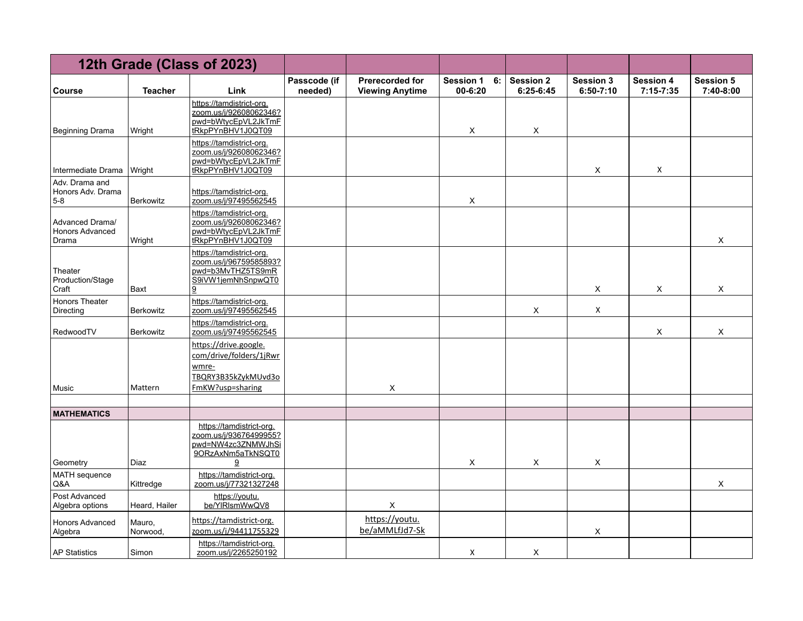|                                                    |                    | 12th Grade (Class of 2023)                                                                           |                         |                                                  |                                       |                               |                                 |                                   |                               |
|----------------------------------------------------|--------------------|------------------------------------------------------------------------------------------------------|-------------------------|--------------------------------------------------|---------------------------------------|-------------------------------|---------------------------------|-----------------------------------|-------------------------------|
| <b>Course</b>                                      | <b>Teacher</b>     | Link                                                                                                 | Passcode (if<br>needed) | <b>Prerecorded for</b><br><b>Viewing Anytime</b> | <b>Session 1</b><br>6:<br>$00 - 6:20$ | <b>Session 2</b><br>6:25-6:45 | <b>Session 3</b><br>$6:50-7:10$ | <b>Session 4</b><br>$7:15 - 7:35$ | <b>Session 5</b><br>7:40-8:00 |
| <b>Beginning Drama</b>                             | Wright             | https://tamdistrict-org.<br>zoom.us/j/92608062346?<br>pwd=bWtvcEpVL2JkTmF<br>tRkpPYnBHV1J0QT09       |                         |                                                  | X                                     | X                             |                                 |                                   |                               |
| Intermediate Drama                                 | Wright             | https://tamdistrict-org.<br>zoom.us/j/92608062346?<br>pwd=bWtycEpVL2JkTmF<br>tRkpPYnBHV1J0QT09       |                         |                                                  |                                       |                               | X                               | X                                 |                               |
| Adv. Drama and<br>Honors Adv. Drama<br>$5-8$       | Berkowitz          | https://tamdistrict-org.<br>zoom.us/j/97495562545                                                    |                         |                                                  | X                                     |                               |                                 |                                   |                               |
| Advanced Drama/<br><b>Honors Advanced</b><br>Drama | Wright             | https://tamdistrict-org.<br>zoom.us/j/92608062346?<br>pwd=bWtycEpVL2JkTmF<br>tRkpPYnBHV1J0QT09       |                         |                                                  |                                       |                               |                                 |                                   | X                             |
| Theater<br>Production/Stage<br>Craft               | Baxt               | https://tamdistrict-org.<br>zoom.us/j/96759585893?<br>pwd=b3MvTHZ5TS9mR<br>S9iVW1jemNhSnpwQT0<br>9   |                         |                                                  |                                       |                               | X                               | X                                 | X                             |
| Honors Theater<br>Directing                        | <b>Berkowitz</b>   | https://tamdistrict-org.<br>zoom.us/j/97495562545                                                    |                         |                                                  |                                       | X                             | X                               |                                   |                               |
| RedwoodTV                                          | <b>Berkowitz</b>   | https://tamdistrict-org.<br>zoom.us/j/97495562545                                                    |                         |                                                  |                                       |                               |                                 | X                                 | X                             |
| Music                                              | Mattern            | https://drive.google.<br>com/drive/folders/1jRwr<br>wmre-<br>TBQRY3B35kZykMUvd3o<br>FmKW?usp=sharing |                         | X                                                |                                       |                               |                                 |                                   |                               |
|                                                    |                    |                                                                                                      |                         |                                                  |                                       |                               |                                 |                                   |                               |
| <b>MATHEMATICS</b><br>Geometry                     | Diaz               | https://tamdistrict-org.<br>zoom.us/j/93676499955?<br>pwd=NW4zc3ZNMWJhSi<br>9ORzAxNm5aTkNSQT0<br>9   |                         |                                                  | X                                     | X                             | X                               |                                   |                               |
| MATH sequence<br>Q&A                               | Kittredge          | https://tamdistrict-org.<br>zoom.us/j/77321327248                                                    |                         |                                                  |                                       |                               |                                 |                                   | X                             |
| Post Advanced<br>Algebra options                   | Heard, Hailer      | https://youtu.<br>be/YIRIsmWwQV8                                                                     |                         | X                                                |                                       |                               |                                 |                                   |                               |
| <b>Honors Advanced</b><br>Algebra                  | Mauro,<br>Norwood, | https://tamdistrict-org.<br>zoom.us/j/94411755329                                                    |                         | https://youtu.<br>be/aMMLfJd7-Sk                 |                                       |                               | X                               |                                   |                               |
| <b>AP Statistics</b>                               | Simon              | https://tamdistrict-org.<br>zoom.us/j/2265250192                                                     |                         |                                                  | X                                     | X                             |                                 |                                   |                               |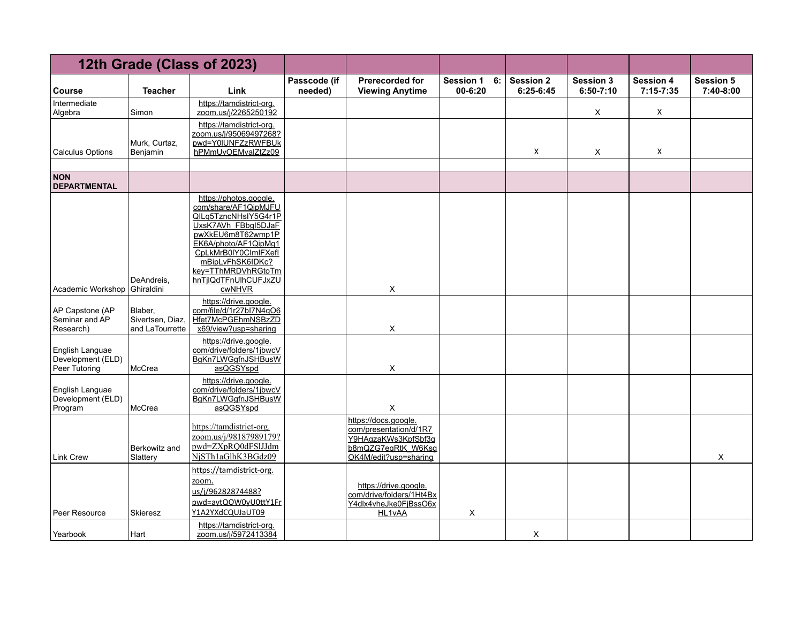|                                                       |                                                | 12th Grade (Class of 2023)                                                                                                                                                                                                                     |                         |                                                                                                                      |                                       |                               |                                   |                                   |                               |
|-------------------------------------------------------|------------------------------------------------|------------------------------------------------------------------------------------------------------------------------------------------------------------------------------------------------------------------------------------------------|-------------------------|----------------------------------------------------------------------------------------------------------------------|---------------------------------------|-------------------------------|-----------------------------------|-----------------------------------|-------------------------------|
| <b>Course</b>                                         | <b>Teacher</b>                                 | Link                                                                                                                                                                                                                                           | Passcode (if<br>needed) | <b>Prerecorded for</b><br><b>Viewing Anytime</b>                                                                     | 6:<br><b>Session 1</b><br>$00 - 6:20$ | <b>Session 2</b><br>6:25-6:45 | <b>Session 3</b><br>$6:50 - 7:10$ | <b>Session 4</b><br>$7:15 - 7:35$ | <b>Session 5</b><br>7:40-8:00 |
| Intermediate<br>Algebra                               | Simon                                          | https://tamdistrict-org.<br>zoom.us/j/2265250192                                                                                                                                                                                               |                         |                                                                                                                      |                                       |                               | X                                 | X                                 |                               |
| <b>Calculus Options</b>                               | Murk, Curtaz,<br>Benjamin                      | https://tamdistrict-org.<br>zoom.us/j/95069497268?<br>pwd=Y0IUNFZzRWFBUk<br>hPMmUvOEMvalZtZz09                                                                                                                                                 |                         |                                                                                                                      |                                       | X                             | X                                 | X                                 |                               |
| <b>NON</b><br><b>DEPARTMENTAL</b>                     |                                                |                                                                                                                                                                                                                                                |                         |                                                                                                                      |                                       |                               |                                   |                                   |                               |
| Academic Workshop                                     | DeAndreis.<br>Ghiraldini                       | https://photos.google.<br>com/share/AF1QipMJFU<br>QILg5TzncNHsIY5G4r1P<br>UxsK7AVh FBbql5DJaF<br>pwXkEU6m8T62wmp1P<br>EK6A/photo/AF1QipMq1<br>CpLkMrB0IY0CImlFXefI<br>mBipLvFhSK6IDKc?<br>key=TThMRDVhRGtoTm<br>hnTjlQdTFnUlhCUFJxZU<br>cwNHVR |                         | X                                                                                                                    |                                       |                               |                                   |                                   |                               |
| AP Capstone (AP<br>Seminar and AP<br>Research)        | Blaber,<br>Sivertsen, Diaz,<br>and LaTourrette | https://drive.google.<br>com/file/d/1r27bl7N4qO6<br>Hfet7McPGEhmNSBzZD<br>x69/view?usp=sharing                                                                                                                                                 |                         | X                                                                                                                    |                                       |                               |                                   |                                   |                               |
| English Languae<br>Development (ELD)<br>Peer Tutoring | McCrea                                         | https://drive.google.<br>com/drive/folders/1jbwcV<br>BgKn7LWGgfnJSHBusW<br>asQGSYspd                                                                                                                                                           |                         | X                                                                                                                    |                                       |                               |                                   |                                   |                               |
| English Languae<br>Development (ELD)<br>Program       | McCrea                                         | https://drive.google.<br>com/drive/folders/1jbwcV<br>BgKn7LWGgfnJSHBusW<br>asQGSYspd                                                                                                                                                           |                         | X                                                                                                                    |                                       |                               |                                   |                                   |                               |
| <b>Link Crew</b>                                      | Berkowitz and<br>Slattery                      | https://tamdistrict-org.<br>zoom.us/j/98187989179?<br>pwd=ZXpRQ0dFSlJJdm<br>NjSTh1aGlhK3BGdz09                                                                                                                                                 |                         | https://docs.google.<br>com/presentation/d/1R7<br>Y9HAqzaKWs3KpfSbf3q<br>b8mQZG7eqRtK_W6Ksg<br>OK4M/edit?usp=sharing |                                       |                               |                                   |                                   | X                             |
| Peer Resource                                         | Skieresz                                       | https://tamdistrict-org.<br>zoom.<br>us/j/96282874488?<br>pwd=aytQOW0yU0ttY1Fr<br>Y1A2YXdCQUJaUT09                                                                                                                                             |                         | https://drive.google.<br>com/drive/folders/1Ht4Bx<br>Y4dlx4vheJke0FjBssO6x<br><b>HL1vAA</b>                          | X                                     |                               |                                   |                                   |                               |
| Yearbook                                              | Hart                                           | https://tamdistrict-org.<br>zoom.us/j/5972413384                                                                                                                                                                                               |                         |                                                                                                                      |                                       | X                             |                                   |                                   |                               |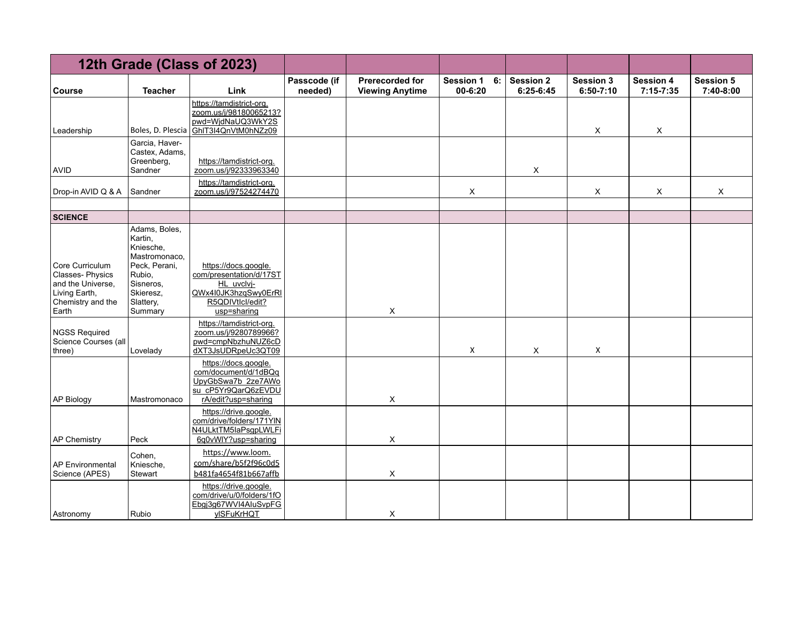|                                                                                                        |                                                                                                                                     | 12th Grade (Class of 2023)                                                                                               |                         |                                                  |                                   |                               |                                 |                                 |                               |
|--------------------------------------------------------------------------------------------------------|-------------------------------------------------------------------------------------------------------------------------------------|--------------------------------------------------------------------------------------------------------------------------|-------------------------|--------------------------------------------------|-----------------------------------|-------------------------------|---------------------------------|---------------------------------|-------------------------------|
| <b>Course</b>                                                                                          | <b>Teacher</b>                                                                                                                      | Link                                                                                                                     | Passcode (if<br>needed) | <b>Prerecorded for</b><br><b>Viewing Anytime</b> | <b>Session 1</b><br>6:<br>00-6:20 | <b>Session 2</b><br>6:25-6:45 | <b>Session 3</b><br>$6:50-7:10$ | <b>Session 4</b><br>$7:15-7:35$ | <b>Session 5</b><br>7:40-8:00 |
| Leadership                                                                                             | Boles, D. Plescia                                                                                                                   | https://tamdistrict-org.<br>zoom.us/j/98180065213?<br>pwd=WjdNaUQ3WkY2S<br>GhIT3I4QnVtM0hNZz09                           |                         |                                                  |                                   |                               | X                               | X                               |                               |
| <b>AVID</b>                                                                                            | Garcia, Haver-<br>Castex, Adams,<br>Greenberg,<br>Sandner                                                                           | https://tamdistrict-org.<br>zoom.us/j/92333963340                                                                        |                         |                                                  |                                   | X                             |                                 |                                 |                               |
| Drop-in AVID Q & A                                                                                     | Sandner                                                                                                                             | https://tamdistrict-org.<br>zoom.us/j/97524274470                                                                        |                         |                                                  | X                                 |                               | $\mathsf X$                     | X                               | X                             |
| <b>SCIENCE</b>                                                                                         |                                                                                                                                     |                                                                                                                          |                         |                                                  |                                   |                               |                                 |                                 |                               |
| Core Curriculum<br>Classes-Physics<br>and the Universe,<br>Living Earth,<br>Chemistry and the<br>Earth | Adams, Boles,<br>Kartin,<br>Kniesche,<br>Mastromonaco,<br>Peck, Perani,<br>Rubio,<br>Sisneros,<br>Skieresz,<br>Slattery,<br>Summary | https://docs.google.<br>com/presentation/d/17ST<br>HL uvclvi-<br>QWx4I0JK3hzqSwy0ErRI<br>R5QDIVtlcl/edit?<br>usp=sharing |                         | X                                                |                                   |                               |                                 |                                 |                               |
| NGSS Required<br>Science Courses (all<br>three)                                                        | Lovelady                                                                                                                            | https://tamdistrict-org.<br>zoom.us/j/9280789966?<br>pwd=cmpNbzhuNUZ6cD<br>dXT3JsUDRpeUc3QT09                            |                         |                                                  | X                                 | X                             | X                               |                                 |                               |
| AP Biology                                                                                             | Mastromonaco                                                                                                                        | https://docs.google.<br>com/document/d/1dBQq<br>UpyGbSwa7b 2ze7AWo<br>su_cP5Yr9QarQ6zEVDU<br>rA/edit?usp=sharing         |                         | X                                                |                                   |                               |                                 |                                 |                               |
| AP Chemistry                                                                                           | Peck                                                                                                                                | https://drive.google.<br>com/drive/folders/171YIN<br>N4ULktTM5laPsgpLWLFi<br>6q0vWIY?usp=sharing                         |                         | X                                                |                                   |                               |                                 |                                 |                               |
| AP Environmental<br>Science (APES)                                                                     | Cohen,<br>Kniesche,<br>Stewart                                                                                                      | https://www.loom.<br>com/share/b5f2f96c0d5<br>b481fa4654f81b667affb                                                      |                         | X                                                |                                   |                               |                                 |                                 |                               |
| Astronomy                                                                                              | Rubio                                                                                                                               | https://drive.google.<br>com/drive/u/0/folders/1fO<br>Ebgj3g67WVI4AluSvpFG<br><b>ylSFuKrHQT</b>                          |                         | X                                                |                                   |                               |                                 |                                 |                               |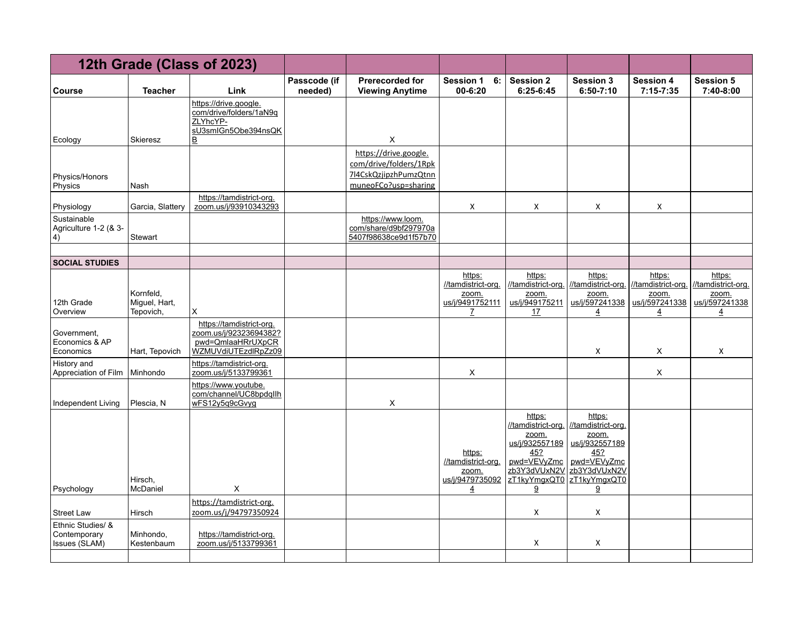|                                                    |                                         | 12th Grade (Class of 2023)                                                                     |                         |                                                                                                  |                                                                            |                                                                                                                                  |                                                                                                                    |                                                                           |                                                                           |
|----------------------------------------------------|-----------------------------------------|------------------------------------------------------------------------------------------------|-------------------------|--------------------------------------------------------------------------------------------------|----------------------------------------------------------------------------|----------------------------------------------------------------------------------------------------------------------------------|--------------------------------------------------------------------------------------------------------------------|---------------------------------------------------------------------------|---------------------------------------------------------------------------|
| Course                                             | <b>Teacher</b>                          | Link                                                                                           | Passcode (if<br>needed) | Prerecorded for<br><b>Viewing Anytime</b>                                                        | <b>Session 1</b><br>6:<br>00-6:20                                          | <b>Session 2</b><br>6:25-6:45                                                                                                    | <b>Session 3</b><br>$6:50-7:10$                                                                                    | <b>Session 4</b><br>$7:15 - 7:35$                                         | <b>Session 5</b><br>7:40-8:00                                             |
| Ecology                                            | Skieresz                                | https://drive.google.<br>com/drive/folders/1aN9q<br>ZLYhcYP-<br>sU3smlGn5Obe394nsQK<br>В       |                         | X                                                                                                |                                                                            |                                                                                                                                  |                                                                                                                    |                                                                           |                                                                           |
| Physics/Honors<br>Physics                          | Nash                                    |                                                                                                |                         | https://drive.google.<br>com/drive/folders/1Rpk<br>7l4CskQzjipzhPumzQtnn<br>muneoFCo?usp=sharing |                                                                            |                                                                                                                                  |                                                                                                                    |                                                                           |                                                                           |
| Physiology                                         | Garcia, Slattery                        | https://tamdistrict-org.<br>zoom.us/j/93910343293                                              |                         |                                                                                                  | Χ                                                                          | X                                                                                                                                | X                                                                                                                  | X                                                                         |                                                                           |
| Sustainable<br>Agriculture 1-2 (& 3-<br>$\vert 4$  | Stewart                                 |                                                                                                |                         | https://www.loom.<br>com/share/d9bf297970a<br>5407f98638ce9d1f57b70                              |                                                                            |                                                                                                                                  |                                                                                                                    |                                                                           |                                                                           |
| <b>SOCIAL STUDIES</b>                              |                                         |                                                                                                |                         |                                                                                                  |                                                                            |                                                                                                                                  |                                                                                                                    |                                                                           |                                                                           |
| 12th Grade<br>Overview                             | Kornfeld,<br>Miguel, Hart,<br>Tepovich, | X                                                                                              |                         |                                                                                                  | https:<br>//tamdistrict-org.<br>zoom.<br>us/j/9491752111<br>Z              | https:<br>//tamdistrict-org.<br>zoom.<br>us/j/949175211<br>17                                                                    | https:<br>//tamdistrict-org.<br>zoom.<br>us/j/597241338<br>$\overline{4}$                                          | https:<br>//tamdistrict-org.<br>zoom.<br>us/j/597241338<br>$\overline{4}$ | https:<br>//tamdistrict-org.<br>zoom.<br>us/j/597241338<br>$\overline{4}$ |
| Government,<br>Economics & AP<br>Economics         | Hart, Tepovich                          | https://tamdistrict-org.<br>zoom.us/j/92323694382?<br>pwd=QmlaaHRrUXpCR<br>WZMUVdiUTEzdlRpZz09 |                         |                                                                                                  |                                                                            |                                                                                                                                  | Χ                                                                                                                  | Χ                                                                         | X                                                                         |
| History and<br>Appreciation of Film                | Minhondo                                | https://tamdistrict-org.<br>zoom.us/j/5133799361                                               |                         |                                                                                                  | X                                                                          |                                                                                                                                  |                                                                                                                    | X                                                                         |                                                                           |
| Independent Living                                 | Plescia, N                              | https://www.voutube.<br>com/channel/UC8bpdqllh<br>wFS12y5q9cGvyg                               |                         | X                                                                                                |                                                                            |                                                                                                                                  |                                                                                                                    |                                                                           |                                                                           |
| Psychology                                         | Hirsch.<br>McDaniel                     | X                                                                                              |                         |                                                                                                  | https:<br>//tamdistrict-org.<br>zoom.<br>us/j/9479735092<br>$\overline{4}$ | https:<br>//tamdistrict-org.<br>zoom.<br>us/j/932557189<br>45?<br>pwd=VEVyZmc<br>zb3Y3dVUxN2V<br>zT1kyYmgxQT0<br>$\underline{9}$ | https:<br>//tamdistrict-org.<br>zoom.<br>us/j/932557189<br>45?<br>pwd=VEVyZmc<br>zb3Y3dVUxN2V<br>zT1kyYmgxQT0<br>9 |                                                                           |                                                                           |
| <b>Street Law</b>                                  | Hirsch                                  | https://tamdistrict-org.<br>zoom.us/j/94797350924                                              |                         |                                                                                                  |                                                                            | X                                                                                                                                | X                                                                                                                  |                                                                           |                                                                           |
| Ethnic Studies/ &<br>Contemporary<br>Issues (SLAM) | Minhondo,<br>Kestenbaum                 | https://tamdistrict-org.<br>zoom.us/j/5133799361                                               |                         |                                                                                                  |                                                                            | X                                                                                                                                | X                                                                                                                  |                                                                           |                                                                           |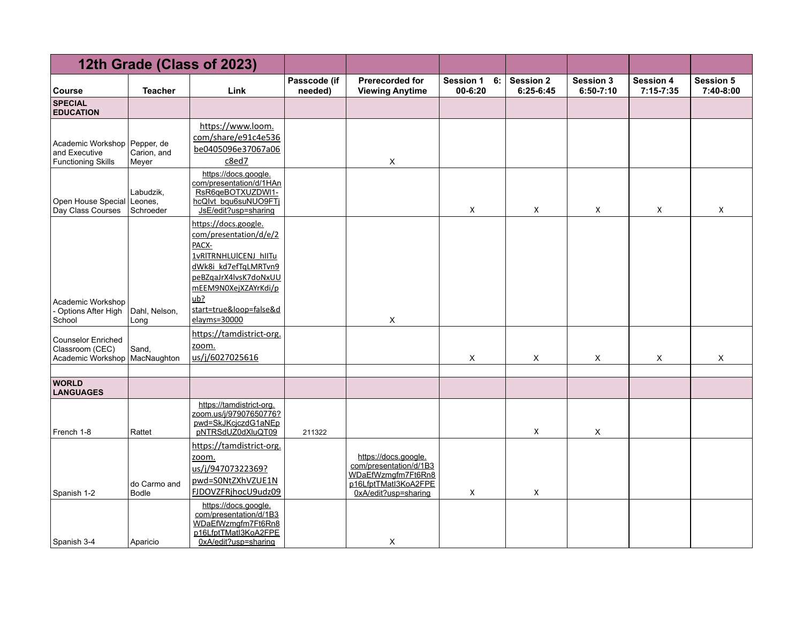|                                                                   |                                    | 12th Grade (Class of 2023)                                                                                                                                                                                  |                         |                                                                                                                      |                                       |                               |                                   |                               |                               |
|-------------------------------------------------------------------|------------------------------------|-------------------------------------------------------------------------------------------------------------------------------------------------------------------------------------------------------------|-------------------------|----------------------------------------------------------------------------------------------------------------------|---------------------------------------|-------------------------------|-----------------------------------|-------------------------------|-------------------------------|
| <b>Course</b>                                                     | <b>Teacher</b>                     | Link                                                                                                                                                                                                        | Passcode (if<br>needed) | <b>Prerecorded for</b><br><b>Viewing Anytime</b>                                                                     | <b>Session 1</b><br>6:<br>$00 - 6:20$ | <b>Session 2</b><br>6:25-6:45 | <b>Session 3</b><br>$6:50 - 7:10$ | <b>Session 4</b><br>7:15-7:35 | <b>Session 5</b><br>7:40-8:00 |
| <b>SPECIAL</b><br><b>EDUCATION</b>                                |                                    |                                                                                                                                                                                                             |                         |                                                                                                                      |                                       |                               |                                   |                               |                               |
| Academic Workshop<br>and Executive<br><b>Functioning Skills</b>   | Pepper, de<br>Carion, and<br>Meyer | https://www.loom.<br>com/share/e91c4e536<br>be0405096e37067a06<br>c8ed7                                                                                                                                     |                         | X                                                                                                                    |                                       |                               |                                   |                               |                               |
| Open House Special<br>Day Class Courses                           | Labudzik,<br>Leones,<br>Schroeder  | https://docs.google.<br>com/presentation/d/1HAn<br>RsR6qeBOTXUZDWI1-<br>hcQlvt_bqu6suNUO9FTj<br>JsE/edit?usp=sharing                                                                                        |                         |                                                                                                                      | X                                     | X                             | X                                 | X                             | X                             |
| Academic Workshop<br>- Options After High<br>School               | Dahl, Nelson,<br>Long              | https://docs.google.<br>com/presentation/d/e/2<br>PACX-<br>1vRITRNHLUICENJ hIITu<br>dWk8i kd7efTqLMRTvn9<br>peBZgaJrX4lvsK7doNxUU<br>mEEM9N0XejXZAYrKdi/p<br>ub?<br>start=true&loop=false&d<br>elayms=30000 |                         | X                                                                                                                    |                                       |                               |                                   |                               |                               |
| <b>Counselor Enriched</b><br>Classroom (CEC)<br>Academic Workshop | Sand,<br>MacNaughton               | https://tamdistrict-org.<br>zoom.<br>us/j/6027025616                                                                                                                                                        |                         |                                                                                                                      | X                                     | X                             | X                                 | X                             | X                             |
| <b>WORLD</b><br><b>LANGUAGES</b>                                  |                                    |                                                                                                                                                                                                             |                         |                                                                                                                      |                                       |                               |                                   |                               |                               |
| French 1-8                                                        | Rattet                             | https://tamdistrict-org.<br>zoom.us/j/97907650776?<br>pwd=SkJKcjczdG1aNEp<br>pNTRSdUZ0dXluQT09                                                                                                              | 211322                  |                                                                                                                      |                                       | X                             | $\mathsf X$                       |                               |                               |
| Spanish 1-2                                                       | do Carmo and<br><b>Bodle</b>       | https://tamdistrict-org.<br>zoom.<br>us/j/94707322369?<br>pwd=S0NtZXhVZUE1N<br>FJDOVZFRjhocU9udz09                                                                                                          |                         | https://docs.google.<br>com/presentation/d/1B3<br>WDaEfWzmgfm7Ft6Rn8<br>p16LfptTMatl3KoA2FPE<br>0xA/edit?usp=sharing | X                                     | X                             |                                   |                               |                               |
| Spanish 3-4                                                       | Aparicio                           | https://docs.google.<br>com/presentation/d/1B3<br>WDaEfWzmgfm7Ft6Rn8<br>p16LfptTMatI3KoA2FPE<br>0xA/edit?usp=sharing                                                                                        |                         | X                                                                                                                    |                                       |                               |                                   |                               |                               |